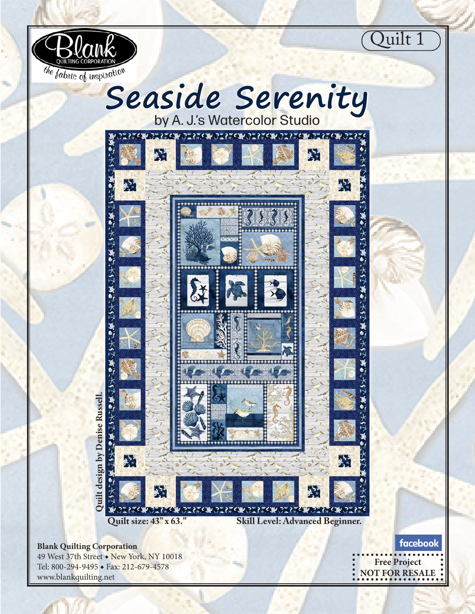



 $\star$ 

きょうさん

P.

くみつこくこく

Ӱ

57327

ココメエビル ココメエビル ココメ



大57 邁的:大57 邁的:大57 邁 Quilt design by Denise Russell. **Quilt design by Denise Russell.**  $\ddot{\bullet}$ W **Quilt size: 43" x 63." Skill Level: Advanced Beginner.**

緊

 $\bullet$ 

通り ナカワ

**PAC** 

**Blank Quilting Corporation**

49 West 37th Street ◆ New York, NY 10018 Tel: 800-294-9495 ◆ Fax: 212-679-4578 www.blankquilting.net

facebook **Free Project NOT FOR RESALE**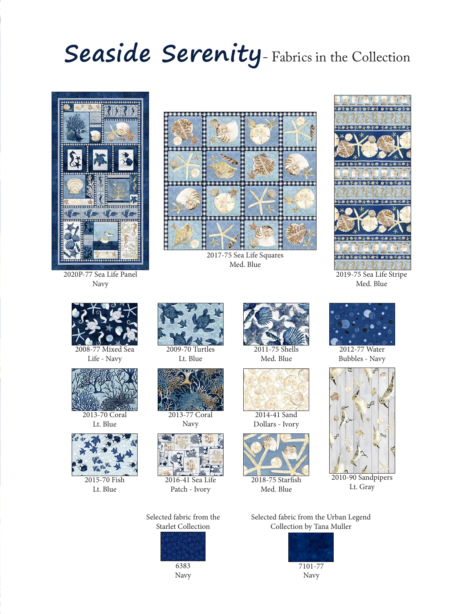## **Seaside Serenity**- Fabrics in the Collection



2020P-77 Sea Life Panel Navy



2017-75 Sea Life Squares Med. Blue



2019-75 Sea Life Stripe Med. Blue



Life - Navy



2013-70 Coral Lt. Blue



2015-70 Fish Lt. Blue



Lt. Blue



2013-77 Coral Navy



Patch - Ivory

Selected fabric from the Starlet Collection



Navy



Med. Blue



Dollars - Ivory



Med. Blue



2012-77 Water Bubbles - Navy



Lt. Gray

Selected fabric from the Urban Legend Collection by Tana Muller



Navy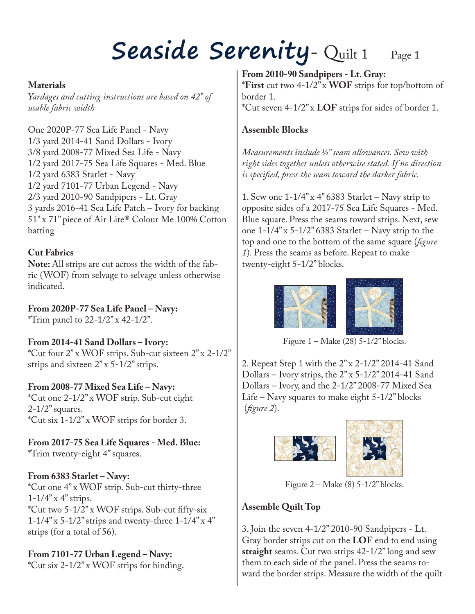## Seaside Serenity- Quilt 1 Page 1

#### **Materials**

*Yardages and cutting instructions are based on 42" of usable fabric width*

One 2020P-77 Sea Life Panel - Navy 1/3 yard 2014-41 Sand Dollars - Ivory 3/8 yard 2008-77 Mixed Sea Life - Navy 1/2 yard 2017-75 Sea Life Squares - Med. Blue 1/2 yard 6383 Starlet - Navy 1/2 yard 7101-77 Urban Legend - Navy 2/3 yard 2010-90 Sandpipers - Lt. Gray 3 yards 2016-41 Sea Life Patch – Ivory for backing 51" x 71" piece of Air Lite® Colour Me 100% Cotton batting

### **Cut Fabrics**

**Note:** All strips are cut across the width of the fabric (WOF) from selvage to selvage unless otherwise indicated.

**From 2020P-77 Sea Life Panel – Navy:**

\*Trim panel to  $22 - 1/2$ " x 42-1/2".

### **From 2014-41 Sand Dollars – Ivory:**

\*Cut four 2" x WOF strips. Sub-cut sixteen 2" x 2-1/2" strips and sixteen 2" x 5-1/2" strips.

### **From 2008-77 Mixed Sea Life – Navy:**

\*Cut one 2-1/2" x WOF strip. Sub-cut eight  $2-1/2$ " squares. \*Cut six 1-1/2" x WOF strips for border 3.

**From 2017-75 Sea Life Squares - Med. Blue:**

\*Trim twenty-eight 4" squares.

### **From 6383 Starlet – Navy:**

\*Cut one 4" x WOF strip. Sub-cut thirty-three  $1 - 1/4$ " x 4" strips. \*Cut two 5-1/2" x WOF strips. Sub-cut fifty-six  $1-1/4$ " x  $5-1/2$ " strips and twenty-three  $1-1/4$ " x  $4$ " strips (for a total of 56).

### **From 7101-77 Urban Legend – Navy:**

\*Cut six 2-1/2" x WOF strips for binding.

**From 2010-90 Sandpipers - Lt. Gray:** \***First** cut two 4-1/2" x **WOF** strips for top/bottom of border 1. \*Cut seven 4-1/2" x **LOF** strips for sides of border 1.

#### **Assemble Blocks**

*Measurements include ¼" seam allowances. Sew with right sides together unless otherwise stated. If no direction is specified, press the seam toward the darker fabric.*

1. Sew one  $1-1/4$ " x 4" 6383 Starlet – Navy strip to opposite sides of a 2017-75 Sea Life Squares - Med. Blue square. Press the seams toward strips. Next, sew one  $1-1/4$ " x  $5-1/2$ " 6383 Starlet – Navy strip to the top and one to the bottom of the same square (*figure 1*). Press the seams as before. Repeat to make twenty-eight 5-1/2" blocks.



Figure  $1 - Make (28) 5 - 1/2" blocks.$ 

2. Repeat Step 1 with the 2" x 2-1/2" 2014-41 Sand Dollars – Ivory strips, the  $2$ " x 5-1/2" 2014-41 Sand Dollars – Ivory, and the 2-1/2" 2008-77 Mixed Sea Life – Navy squares to make eight 5-1/2" blocks (*figure 2*).





Figure  $2 - Make(8)$  5-1/2" blocks.

### **Assemble Quilt Top**

3. Join the seven 4-1/2" 2010-90 Sandpipers - Lt. Gray border strips cut on the **LOF** end to end using **straight** seams. Cut two strips 42-1/2" long and sew them to each side of the panel. Press the seams toward the border strips. Measure the width of the quilt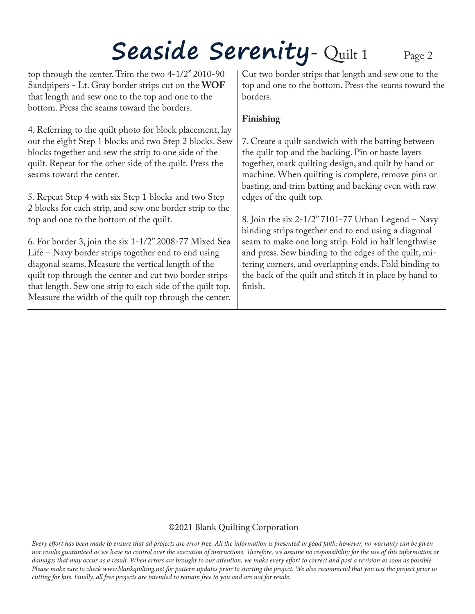# Seaside Serenity- Quilt 1 Page 2

top through the center. Trim the two 4-1/2" 2010-90 Sandpipers - Lt. Gray border strips cut on the **WOF** that length and sew one to the top and one to the bottom. Press the seams toward the borders.

4. Referring to the quilt photo for block placement, lay out the eight Step 1 blocks and two Step 2 blocks. Sew blocks together and sew the strip to one side of the quilt. Repeat for the other side of the quilt. Press the seams toward the center.

5. Repeat Step 4 with six Step 1 blocks and two Step 2 blocks for each strip, and sew one border strip to the top and one to the bottom of the quilt.

6. For border 3, join the six 1-1/2" 2008-77 Mixed Sea Life – Navy border strips together end to end using diagonal seams. Measure the vertical length of the quilt top through the center and cut two border strips that length. Sew one strip to each side of the quilt top. Measure the width of the quilt top through the center.

Cut two border strips that length and sew one to the top and one to the bottom. Press the seams toward the borders.

#### **Finishing**

7. Create a quilt sandwich with the batting between the quilt top and the backing. Pin or baste layers together, mark quilting design, and quilt by hand or machine. When quilting is complete, remove pins or basting, and trim batting and backing even with raw edges of the quilt top.

8. Join the six 2-1/2" 7101-77 Urban Legend – Navy binding strips together end to end using a diagonal seam to make one long strip. Fold in half lengthwise and press. Sew binding to the edges of the quilt, mitering corners, and overlapping ends. Fold binding to the back of the quilt and stitch it in place by hand to finish.

#### ©2021 Blank Quilting Corporation

*Every effort has been made to ensure that all projects are error free. All the information is presented in good faith; however, no warranty can be given nor results guaranteed as we have no control over the execution of instructions. Therefore, we assume no responsibility for the use of this information or damages that may occur as a result. When errors are brought to our attention, we make every effort to correct and post a revision as soon as possible. Please make sure to check www.blankquilting.net for pattern updates prior to starting the project. We also recommend that you test the project prior to cutting for kits. Finally, all free projects are intended to remain free to you and are not for resale.*